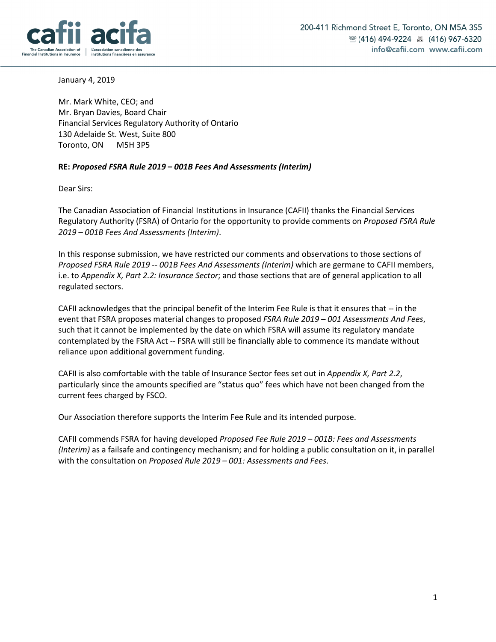

January 4, 2019

Mr. Mark White, CEO; and Mr. Bryan Davies, Board Chair Financial Services Regulatory Authority of Ontario 130 Adelaide St. West, Suite 800 Toronto, ON M5H 3P5

## **RE:** *Proposed FSRA Rule 2019 – 001B Fees And Assessments (Interim)*

Dear Sirs:

The Canadian Association of Financial Institutions in Insurance (CAFII) thanks the Financial Services Regulatory Authority (FSRA) of Ontario for the opportunity to provide comments on *Proposed FSRA Rule 2019 – 001B Fees And Assessments (Interim)*.

In this response submission, we have restricted our comments and observations to those sections of *Proposed FSRA Rule 2019 -- 001B Fees And Assessments (Interim)* which are germane to CAFII members, i.e. to *Appendix X, Part 2.2: Insurance Sector*; and those sections that are of general application to all regulated sectors.

CAFII acknowledges that the principal benefit of the Interim Fee Rule is that it ensures that -- in the event that FSRA proposes material changes to proposed *FSRA Rule 2019 – 001 Assessments And Fees*, such that it cannot be implemented by the date on which FSRA will assume its regulatory mandate contemplated by the FSRA Act -- FSRA will still be financially able to commence its mandate without reliance upon additional government funding.

CAFII is also comfortable with the table of Insurance Sector fees set out in *Appendix X, Part 2.2*, particularly since the amounts specified are "status quo" fees which have not been changed from the current fees charged by FSCO.

Our Association therefore supports the Interim Fee Rule and its intended purpose.

CAFII commends FSRA for having developed *Proposed Fee Rule 2019 – 001B: Fees and Assessments (Interim)* as a failsafe and contingency mechanism; and for holding a public consultation on it, in parallel with the consultation on *Proposed Rule 2019 – 001: Assessments and Fees*.